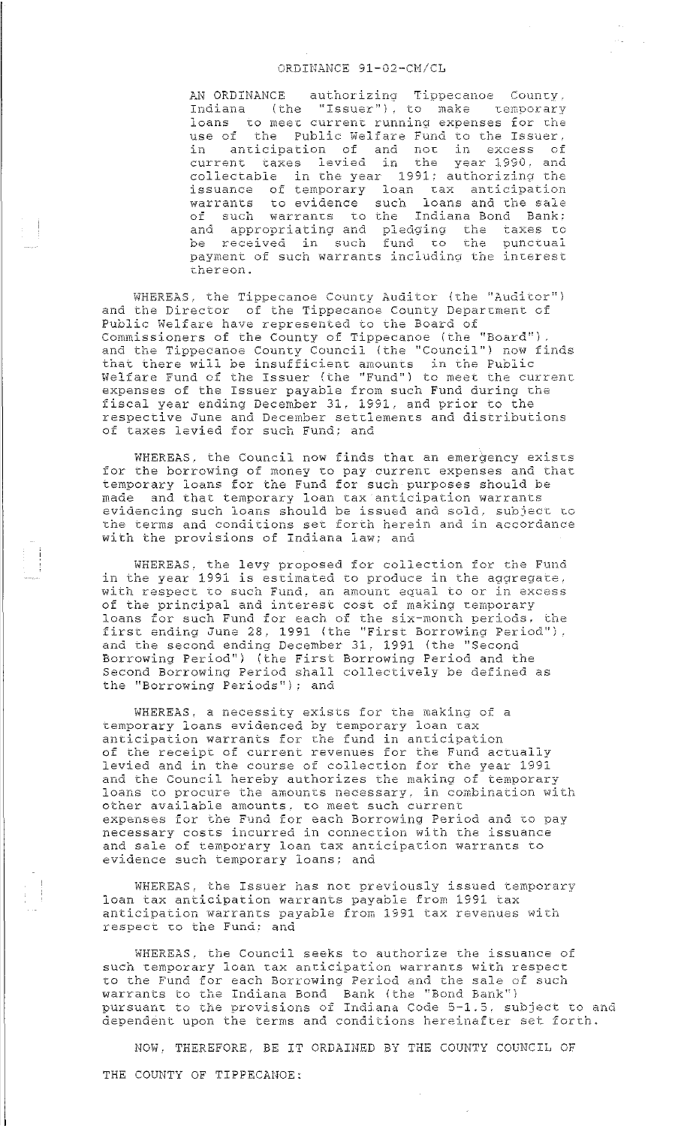## ORDINANCE 91-02-CM/CL

AN ORDINANCE authorizing Tippecanoe County, Indiana (the "Issuer"), to make temporary loans to meet current running expenses for the<br>use of the Public Welfare Fund to the Issuer,<br>in anticipation of and not in excess of<br>current taxes levied in the year 1990, and collectable in the year 1991; authorizing the dissuance of temporary loan tax anticipation<br>warrants to evidence such loans and the sale<br>of such warrants to the Indiana Bond Bank;<br>and appropriating and pledging the taxes to be received in such fund to the punctual payment of such warrants including the interest thereon.

WHEREAS, the Tippecanoe County Auditor (the "Auditor") and the Director of the Tippecanoe County Department of Public Welfare have represented to the Board of Commissioners of the County of Tippecanoe (the "Board").<br>and the Tippecanoe County Council (the "Council") now finds that there will be insufficient amounts in the Public<br>Welfare Fund of the Issuer (the "Fund") to meet the current<br>expenses of the Issuer payable from such Fund during the fiscal year ending December 31, 1991, and prior to the respective June and December settlements and distributions of taxes levied for such Fund; and

WHEREAS, the Council now finds that an emergency exists for the borrowing of money to pay current expenses and that temporary loans for the Fund for such purposes should be made and that temporary loan tax anticipation warrants evidencing such loans should be issued and sold, subject to the terms and conditions set forth herein and in accordance with the provisions of Indiana law; and

WHEREAS, the levy proposed for collection for the Fund<br>in the year 1991 is estimated to produce in the aggregate, with respect to such Fund, an amount equal to or in excess of the principal and interest cost of making temporary loans for such Fund for each of the six-month periods, the first ending June 28, 1991 (the "First Borrowing Period"),<br>and the second ending December 31, 1991 (the "Second<br>Borrowing Period") (the First Borrowing Period and the Second Borrowing Period shall collectively be defined as the "Borrowing Periods"); and

WHEREAS, a necessity exists for the making of a temporary loans evidenced by temporary loan tax anticipation warrants for the fund in anticipation of the receipt of current revenues for the Fund actually<br>levied and in the course of collection for the year 1991 and the Council hereby authorizes the making of temporary loans to procure the amounts necessary, in combination with other available amounts, to meet such current expenses for the Fund for each Borrowing Period and to pay necessary costs incurred in connection with the issuance and sale of temporary loan tax anticipation warrants to evidence such temporary loans; and

WHEREAS, the Issuer has not previously issued temporary loan tax anticipation warrants payable from 1991 tax anticipation warrants payable from 1991 tax revenues with respect to the Fund; and

WHEREAS, the Council seeks to authorize the issuance of such temporary loan tax anticipation warrants with respect to the Fund for each Borrowing Period and the sale of such warrants to the Indiana Bond Bank (the "Bond Bank") pursuant to the provisions of Indiana Code 5-1.5, subject to and dependent upon the terms and conditions hereinafter set forth.

NOW, THEREFORE, BE IT ORDAINED BY THE COUNTY COUNCIL OF

THE COUNTY OF TIPPECANOE: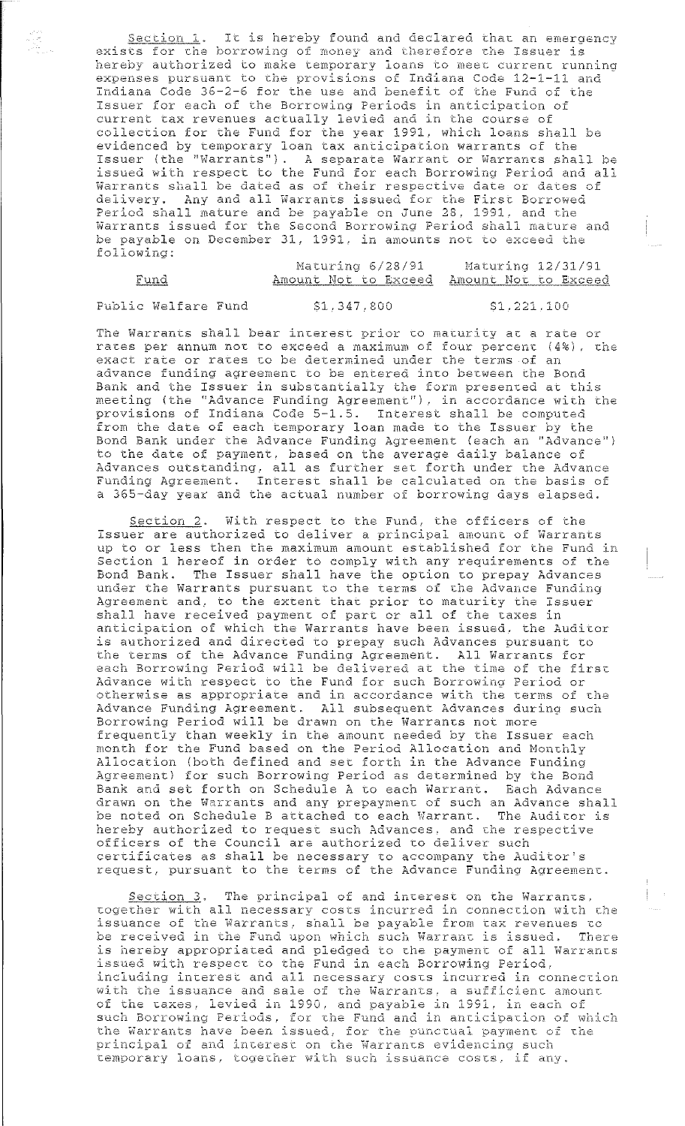Section 1. It is hereby found and declared that an emergency exists for the borrowing of money and therefore the Issuer is hereby authorized to make temporary loans to meet current running expenses pursuant to the provisions of Indiana Code 12-1-11 and Indiana Code 36-2-6 for the use and benefit of the Fund of the Issuer for each of the Borrowing Periods in anticipacion of current tax revenues actually levied and in the course of collection for the Fund for the year 1991, which loans shall be evidenced by temporary loan tax anticipation warrancs of the Issuer (the "Warrants"). A separate Warrant or Warrants shall be issued with respect to the Fund for each Borrowing Period and all Warrants shall be dated as of their respective date or dates of delivery. Any and all Warrants issued for the First Borrowed Period shall mature and be payable on June 28, 1991, and the Warrants issued for the Second Borrowing Period shall mature and be payable on December 31, 1991, in amounts not to exceed the following:

|                                           | Maturing 6/28/91     | Maturing 12/31/91    |
|-------------------------------------------|----------------------|----------------------|
| Fund<br>THE REPORT OF THE ADDRESS CLEARS. | Amount Not to Exceed | Amount Not to Exceed |
|                                           |                      |                      |

Public Welfare Fund \$1,347,800 \$1,221,100

The Warrants shall bear interest prior to maturity at a rate or rates per annum not to exceed a maximum of four percent (4%), the exact rate or rates to be determined under the terms of an advance funding agreement to be entered into between the Bond Bank and the Issuer in substantially the form presented at this meeting (the "Advance Funding Agreement"), in accordance with the provisions of Indiana Code 5-1.5. Interest shall be computed from the date of each temporary loan made to the Issuer by the Bond Bank under the Advance Funding Agreement (each an "Advance") to the date of payment, based on the average daily balance of Advances outstanding, all as further set forth under the Advance Funding Agreement. Interest shall be calculated on the basis of a 365-day year and the actual number of borrowing days elapsed.

Section 2. With respect to the Fund, the officers of the Issuer are authorized to deliver a principal amounc of Warrancs up to or less then the maximum amount established for the Fund in Section 1 hereof in order to comply with any requirements of the Bond Bank. The Issuer shall have the option to prepay Advances under the Warrants pursuant to the terms of the Advance Funding Agreement and, to the extent that prior to maturity the Issuer shall have received payment of part or all of the taxes in anticipation of which the Warrants have been issued, the Auditor is authorized and directed to prepay such Advances pursuant to the terms of the Advance Funding Agreement. All Warrancs for each Borrowing Period will be delivered at the time of the first Advance with respect to the Fund for such Borrowing Period or otherwise as appropriate and in accordance with the terms of the Advance Funding Agreement. All subsequent Advances during such Borrowing Period will be drawn on the Warrants not more frequently than weekly in the amount needed by the Issuer each month for the Fund based on the Period Allocation and Monthly Allocation (both defined and sec forth in the Advance Funding Agreement) for such Borrowing Period as determined by the Bond Bank and set forth on Schedule A to each Warrant. Each Advance drawn on the Warrants and any prepayment of such an Advance shall be noted on Schedule B attached co each Warrant. The Auditor is hereby authorized to request such Advances, and the respective officers of the Council are authorized to deliver such ertificates as shall be necessary to accompany the Auditor's request, pursuant to the terms of the Advance Funding Agreement.

 $Section 3.$  The principal of and interest on the Warrants, together with all necessary costs incurred in connection with the issuance of the Warrants, shall be payable from tax revenues to be received in the Fund upon which such Warrant is issued. There is hereby appropriated and pledged to the payment of all Warrancs issued with respect to the Fund in each Borrowing Period, including interest and all necessary costs incurred in connection with the issuance and sale of the Warrants, a sufficient amount of the caxes, levied in 1990. and payable in 1991, in each of such Borrowing Periods, for the Fund and in anticipation of which the Warrants have been issued, for the punctual payment of the principal of and inceresc on che Warrants evidencing such temporary loans, together with such issuance costs, if any.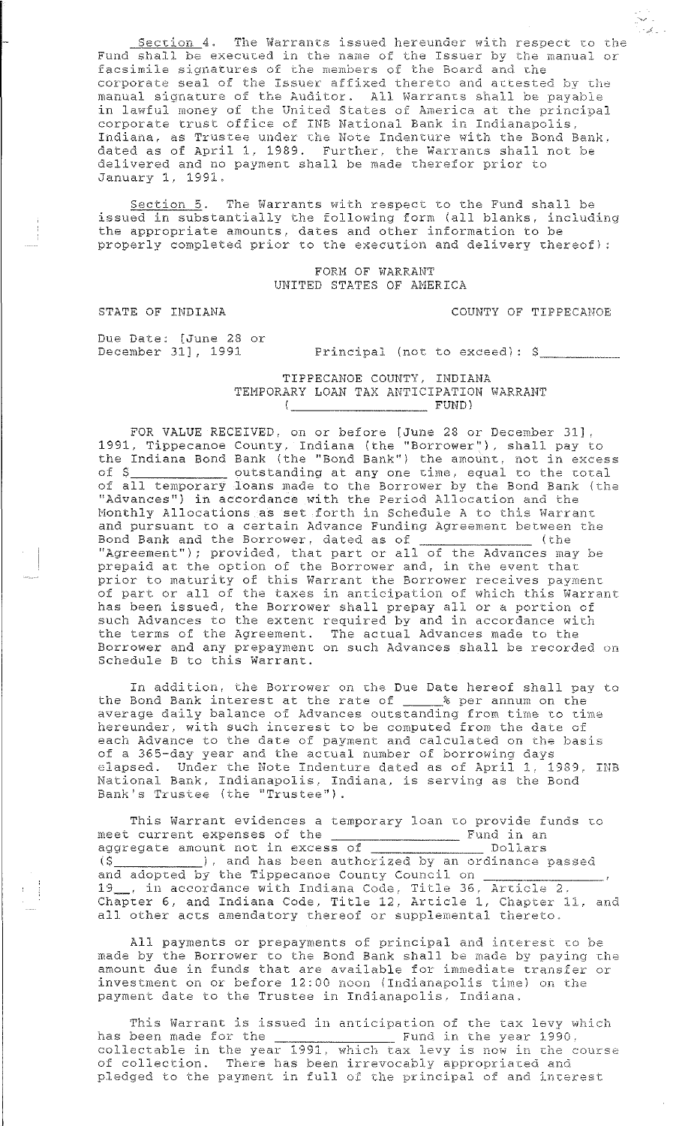Section 4. The Warrants issued hereunder with respect to the Fund shall be executed in the name of the Issuer by the manual or facsimile signatures of the members of the Board and the corporate seal of the Issuer affixed thereto and attested by the manual signature of the Auditor. All Warrants shall be payable in lawful money of the United States of America at the principal corporate trust office of INB National Bank in Indianapolis, Indiana, as Trustee under the Note Indenture with the Bond Bank, dated as of April 1, 1989. Further. the Warrants shall not be delivered and no payment shall be made Lherefor prior to January 1, 1991.

Section 5. The Warrants with respect to the Fund shall be issued in substantially the following form (all blanks, including the appropriate amounts, dates and other information to be properly completed prior to the execution and delivery thereof):

> FORM OF WARRANT UNITED STATES OF AMERICA

STATE OF INDIANA **COUNTY OF TIPPECANOE** 

,,, ~

Due Date: [June 28 or<br>December 31], 1991

Principal (not to exceed):  $S$ 

TIPPECANOE COUNTY, INDIANA TEMPORARY LOAN TAX ANTICIPATION WARRANT ( FUND)

FOR VALUE RECEIVED, on or before (June 28 or December 31], 1991, Tippecanoe County, Indiana (the "Borrower"), shall pay to the Indiana Bond Bank (the "Bond Bank") the amount, not in excess of \$ of all temporary loans made to the Borrower by the Bond Bank (the 1941) in accordance with the Poriod Allocation and the "Advances") in accordance with the Period Allocation and the Monthly Allocations as set forth in Schedule A to this Warrant and pursuant to a certain Advance Funding Agreemenc between the Bond Bank and the Borrower, dated as of \_\_\_\_\_\_\_\_\_\_\_\_\_\_\_(the 11)<br>"Agreement"); provided, that part or all of the Advances may be prepaid at the option of the Borrower and, in the event that prior to maturity of this Warrant the Borrower receives payment prior so masurity or ship warrant one borrower receives payment has been issued, the Borrower shall prepay all or a portion of such Advances to the extent required by and in accordance with the terms of the Agreement. The actual Advances made to the Borrower and any prepayment on such Advances shall be recorded on Schedule B to this Warrant.

In addition, the Borrower on the Due Date hereof shall pay to the Bond Bank interest at the rate of \_\_\_\_\_% per annum on the average daily balance of Advances outstanding from time to time hereunder, with such interest to be computed from the date of each Advance to the date of payment and calculated on the basis of a 365-day year and the actual number of borrowing days elapsed. Under the Note Indenture dated as of April 1, 1989, INB diappour shuti this hoss indinents duced about hpiritify 1989 Bank's Trustee (the "Trustee").

This Warrant evidences a temporary loan to provide funds to meet current expenses of the  $\frac{1}{1}$  Fund in an aggregate amount not in excess of Dollars (\$ ) , and has been authorized by an ordinance passed and adopted by the Tippecanoe County Council on 19\_, in accordance with Indiana Code, Title 36, Article 2. 19 Fig. 28 accordance wron Indiana Code, Title 12, Article 1, Chapter 11, and all other acts amendatory thereof or supplemental thereto.

All payments or prepayments of principal and interest to be made by the Borrower to the Bond Bank shall be made by paying the amount due in funds that are available for immediate transfer or investment on or before  $12:00$  noon (Indianapolis time) on the payment date to the Trustee in Indianapolis, Indiana.

This Warrant is issued in anticipation of the tax levy which has been made for the **Fund in the year 1990**, rand seem made for the <u>1991</u>, which tax levy is now in the course of collection. There has been irrevocably appropriated and pledged to the payment in full of the principal of and interest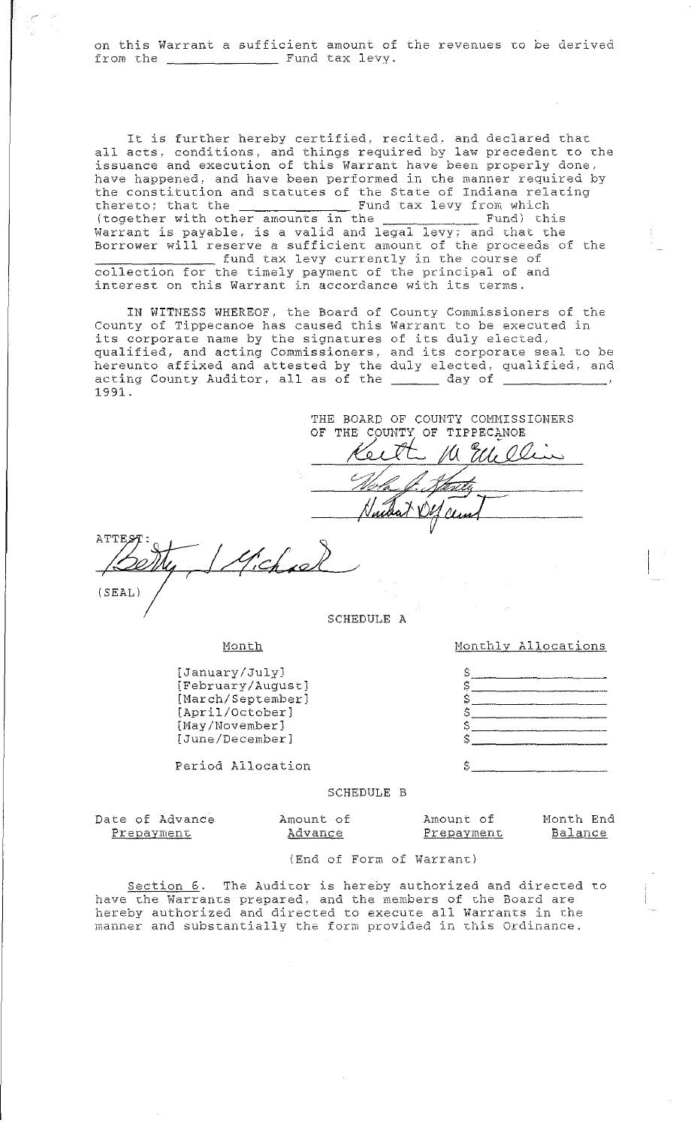on this Warrant a sufficient amount of the revenues to be derived Fund tax levy. from the

It is further hereby certified, recited, and declared that<br>all acts, conditions, and things required by law precedent to the issuance and execution of this Warrant have been properly done, have happened, and have been performed in the manner required by the constitution and statutes of the State of Indiana relating thereto; that the - Fund) this Warrant is payable, is a valid and legal levy; and that the Borrower will reserve a sufficient amount of the proceeds of the tund tax levy currently in the course of collection for the timely payment of the principal of and interest on this Warrant in accordance with its terms.

IN WITNESS WHEREOF, the Board of County Commissioners of the County of Tippecanoe has caused this Warrant to be executed in its corporate name by the signatures of its duly elected,<br>qualified, and acting Commissioners, and its corporate seal to be hereunto affixed and attested by the duly elected, qualified, and acting County Auditor, all as of the \_\_\_\_\_\_ day of \_ 1991.

THE BOARD OF COUNTY COMMISSIONERS OF THE COUNTY OF TIPPECANOE  $\circ$ 

,<br>!'.Ch  $(SEAL)$ 

SCHEDULE A

Monthly Allocations

[January/July] [February/August] [March/September] [April/October] [May/November] [June/December]

Month

Period Allocation

S  $\mathbf{C}$ S S S S

Month End

SCHEDULE B

Date of Advance Prepayment

Advance Prepayment **Balance** 

Amount of

(End of Form of Warrant)

Section 6. The Auditor is hereby authorized and directed to have the Warrants prepared, and the members of the Board are hereby authorized and directed to execute all Warrants in the manner and substantially the form provided in this Ordinance.

Amount of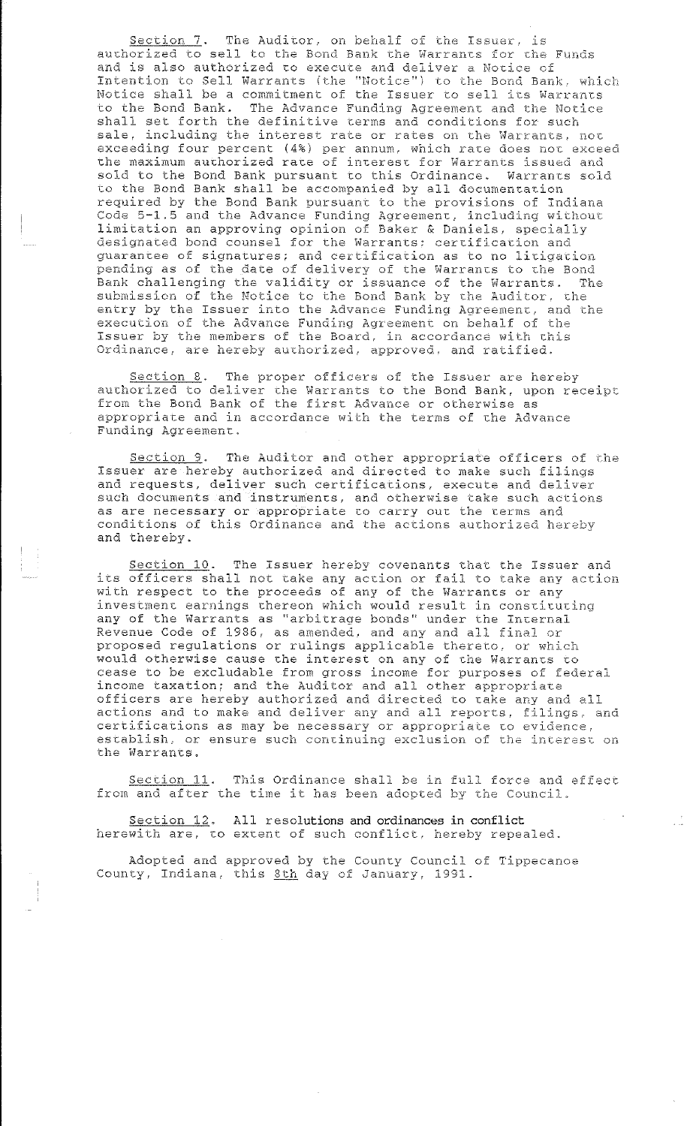Section 7. The Auditor, on behalf of the Issuer, is authorized to sell to the Bond Bank the Warrants for the Funds and is also authorized to execute and deliver a Notice cf Intention to Sell Warrants (the "'Notice'') to the Bond Bank. which Notice shall be a commitment of the Issuer to sell its Warrants to the Bond Bank. The Advance Funding Agreement and the Notice shall set forth the definitive terms and conditions for such<br>sale, including the interest rate or rates on the Warrants, a including the interest rate or rates on the Warrants, not exceeding four percent (4%) per annum, which rate does not exceed the maximum authorized rate of interest for Warrants issued and sold to the Bond Bank pursuant to this Ordinance. Warrants sold to the Bond Bank shall be accompanied by all documentation required by the Bond Bank pursuanc to the provisions of Indiana Code 5-1.5 and the Advance Funding Agreement, including without limitation an approving opinion of Baker & Daniels, specially designated bond counsel for the Warrants; certification and guarantee of signatures; and certification as to no litigation pending as of the date of delivery of the Warrants to the Bond Bank challenging the validity or issuance of the Warrants. The submission of the Notice to the Bond Bank by the Auditor. the entry by the Issuer into the Advance Funding Agreement, and the execution of the Advance Funding Agreement on behalf of the Issuer by the members of the Board, in accordance with chis Ordinance, are hereby authorized, approved. and ratified.

Section 8. The proper officers of the Issuer are hereby authorized to deliver the Warrants to the Bond Bank, upon receipt from the Bond Bank of the first Advance or otherwise as appropriate and in accordance with the terms of the Advance Funding Agreement.

Section 9. The Auditor and other appropriate officers of the Issuer are hereby authorized and directed to make such filings and requests, deliver such certifications, execute and deliver such documents and instruments, and otherwise take such actions as are necessary or appropriate co carry out the terms and conditions of this Ordinance and the actions authorized hereby and thereby.

Section 10. The Issuer hereby covenants that the Issuer and its officers shall not take any action or fail to take any action with respect to the proceeds of any of the Warrancs or any investment earnings thereon which would result in constituting any of the Warrants as "arbitrage bonds" under the Internal Revenue Code of 1986, as amended, and any and all final or proposed regulations or rulings applicable thereto, or which would otherwise cause the interest on any of the Warrants to cease to be excludable from gross income for purposes of federal income taxation; and the Auditor and all other appropriate income caxation, and the xuditor and all other appropriate<br>officers are hereby authorized and directed to take any and all actions and to make and deliver any and all reports, filings, and certifications as may be necessary or appropriate co evidence, establish, or ensure such continuing exclusion of the interest on the Warrants.

Section 11. This Ordinance shall be in full force and effect from and after the time it has been adopted by the Council.

ء<br>جاء

Section 12. All resolutions and ordinances in conflict herewith are, to extent of such conflict, hereby repealed.

Adopted and approved by the County Council of Tippecanoe County, Indiana, this 8th day of January, 1991.